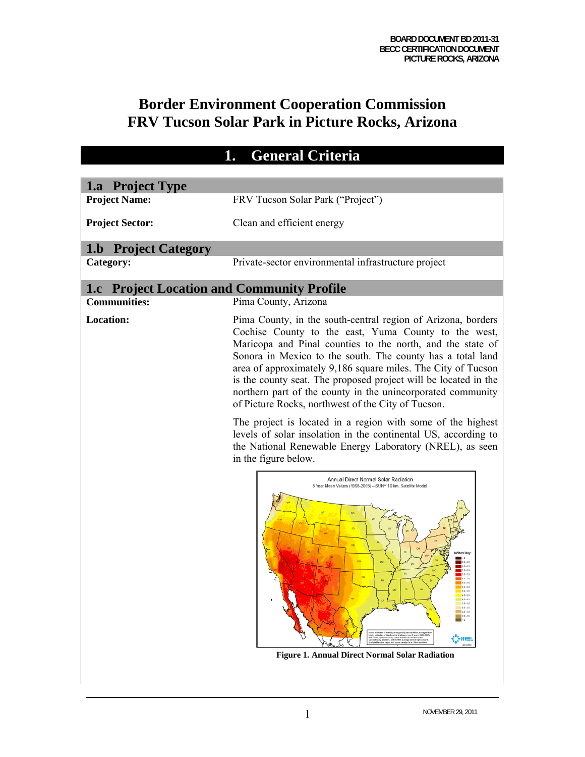# **Border Environment Cooperation Commission FRV Tucson Solar Park in Picture Rocks, Arizona**

|                                                   | 1.<br><b>General Criteria</b>                                                                                                                                                                                                                                                                                                                                                                                                                                                                                                                                           |
|---------------------------------------------------|-------------------------------------------------------------------------------------------------------------------------------------------------------------------------------------------------------------------------------------------------------------------------------------------------------------------------------------------------------------------------------------------------------------------------------------------------------------------------------------------------------------------------------------------------------------------------|
|                                                   |                                                                                                                                                                                                                                                                                                                                                                                                                                                                                                                                                                         |
| 1.a Project Type<br><b>Project Name:</b>          | FRV Tucson Solar Park ("Project")                                                                                                                                                                                                                                                                                                                                                                                                                                                                                                                                       |
|                                                   |                                                                                                                                                                                                                                                                                                                                                                                                                                                                                                                                                                         |
| <b>Project Sector:</b>                            | Clean and efficient energy                                                                                                                                                                                                                                                                                                                                                                                                                                                                                                                                              |
| <b>1.b</b> Project Category                       |                                                                                                                                                                                                                                                                                                                                                                                                                                                                                                                                                                         |
| Category:                                         | Private-sector environmental infrastructure project                                                                                                                                                                                                                                                                                                                                                                                                                                                                                                                     |
| <b>1.c</b> Project Location and Community Profile |                                                                                                                                                                                                                                                                                                                                                                                                                                                                                                                                                                         |
| <b>Communities:</b>                               | Pima County, Arizona                                                                                                                                                                                                                                                                                                                                                                                                                                                                                                                                                    |
| <b>Location:</b>                                  | Pima County, in the south-central region of Arizona, borders<br>Cochise County to the east, Yuma County to the west,<br>Maricopa and Pinal counties to the north, and the state of<br>Sonora in Mexico to the south. The county has a total land<br>area of approximately 9,186 square miles. The City of Tucson<br>is the county seat. The proposed project will be located in the<br>northern part of the county in the unincorporated community<br>of Picture Rocks, northwest of the City of Tucson.<br>The project is located in a region with some of the highest |
|                                                   | levels of solar insolation in the continental US, according to<br>the National Renewable Energy Laboratory (NREL), as seen<br>in the figure below.                                                                                                                                                                                                                                                                                                                                                                                                                      |
|                                                   | Annual Direct Normal Solar Radiation<br>8 Year Mean Values (1998-2005) - SUNY 10 km. Satellite Model<br>$165 - 73$<br>$-40 - 65$<br>$55 - 63$<br>50-55<br>$45 - 53$<br>$40 - 45$<br>15.43<br>$10 - 15$<br>$-25 - 33$<br>$20-25$<br>$\blacksquare$<br>bis insdance from the GOES<br>⊁N?≘!<br><b>Figure 1. Annual Direct Normal Solar Radiation</b>                                                                                                                                                                                                                       |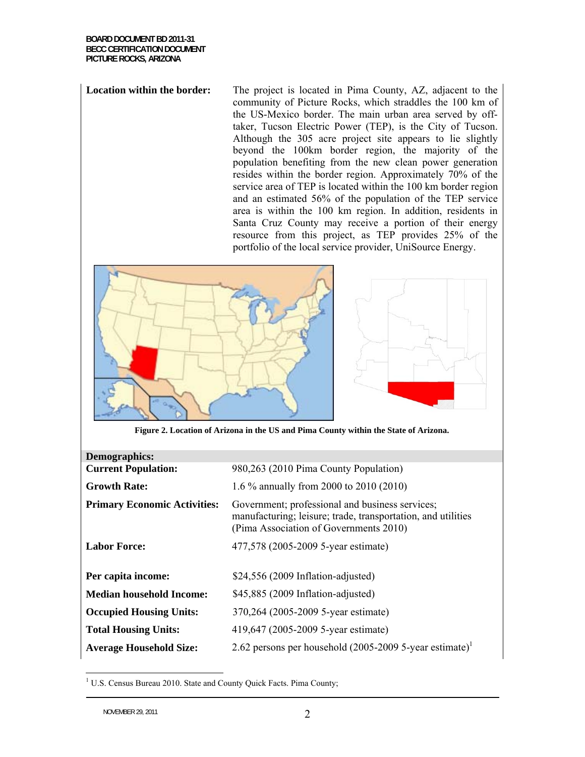**Location within the border:** The project is located in Pima County, AZ, adjacent to the community of Picture Rocks, which straddles the 100 km of the US-Mexico border. The main urban area served by offtaker, Tucson Electric Power (TEP), is the City of Tucson. Although the 305 acre project site appears to lie slightly beyond the 100km border region, the majority of the population benefiting from the new clean power generation resides within the border region. Approximately 70% of the service area of TEP is located within the 100 km border region and an estimated 56% of the population of the TEP service area is within the 100 km region. In addition, residents in Santa Cruz County may receive a portion of their energy resource from this project, as TEP provides 25% of the portfolio of the local service provider, UniSource Energy.





| Demographics:                       |                                                                                                                                                           |
|-------------------------------------|-----------------------------------------------------------------------------------------------------------------------------------------------------------|
| <b>Current Population:</b>          | 980,263 (2010 Pima County Population)                                                                                                                     |
| <b>Growth Rate:</b>                 | 1.6 % annually from 2000 to 2010 (2010)                                                                                                                   |
| <b>Primary Economic Activities:</b> | Government; professional and business services;<br>manufacturing; leisure; trade, transportation, and utilities<br>(Pima Association of Governments 2010) |
| <b>Labor Force:</b>                 | 477,578 (2005-2009 5-year estimate)                                                                                                                       |
| Per capita income:                  | $$24,556 (2009 Inflation-adjusted)$                                                                                                                       |
| <b>Median household Income:</b>     | \$45,885 (2009 Inflation-adjusted)                                                                                                                        |
| <b>Occupied Housing Units:</b>      | 370,264 (2005-2009 5-year estimate)                                                                                                                       |
| <b>Total Housing Units:</b>         | 419,647 (2005-2009 5-year estimate)                                                                                                                       |
| <b>Average Household Size:</b>      | 2.62 persons per household $(2005-20095)$ -year estimate) <sup>1</sup>                                                                                    |

<sup>&</sup>lt;sup>1</sup> U.S. Census Bureau 2010. State and County Quick Facts. Pima County;

 $\overline{a}$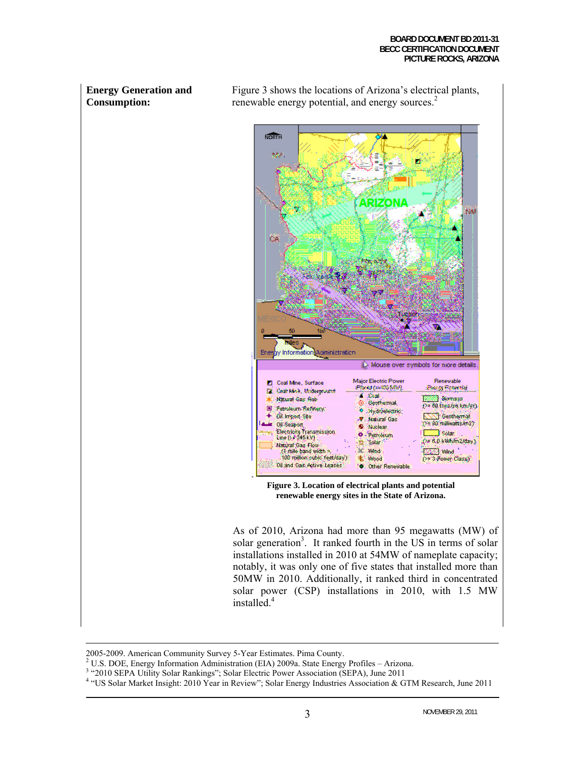### **Energy Generation and Consumption:**

Figure 3 shows the locations of Arizona's electrical plants, renewable energy potential, and energy sources.<sup>2</sup>



**renewable energy sites in the State of Arizona.** 

As of 2010, Arizona had more than 95 megawatts (MW) of solar generation<sup>3</sup>. It ranked fourth in the US in terms of solar installations installed in 2010 at 54MW of nameplate capacity; notably, it was only one of five states that installed more than 50MW in 2010. Additionally, it ranked third in concentrated solar power (CSP) installations in 2010, with 1.5 MW installed.<sup>4</sup>

 <sup>2005-2009.</sup> American Community Survey 5-Year Estimates. Pima County. 2

 $2$  U.S. DOE, Energy Information Administration (EIA) 2009a. State Energy Profiles – Arizona.

<sup>&</sup>lt;sup>3</sup> "2010 SEPA Utility Solar Rankings"; Solar Electric Power Association (SEPA), June 2011

<sup>&</sup>lt;sup>4</sup> "US Solar Market Insight: 2010 Year in Review"; Solar Energy Industries Association & GTM Research, June 2011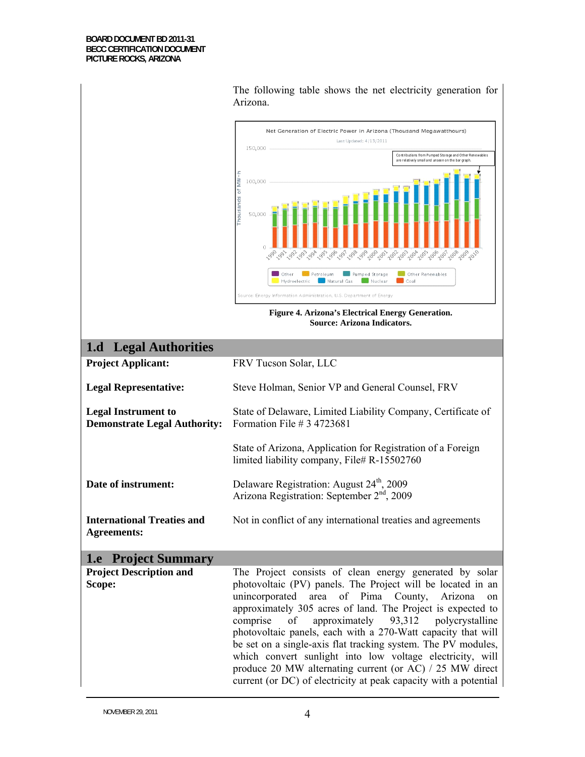|                                                                   | The following table shows the net electricity generation for<br>Arizona.                                                                                                                                                                                                                                                                                                                                                                                                                                                                                                                                                                |
|-------------------------------------------------------------------|-----------------------------------------------------------------------------------------------------------------------------------------------------------------------------------------------------------------------------------------------------------------------------------------------------------------------------------------------------------------------------------------------------------------------------------------------------------------------------------------------------------------------------------------------------------------------------------------------------------------------------------------|
|                                                                   | Net Generation of Electric Power in Arizona (Thousand Megawatthours)<br>Last Updated: 4/13/2011<br>150,000<br>Contributions from Pumped Storage and Other Renewables<br>are relatively small and unseen on the bar graph<br>Thousands of MW<br>100,000<br>50,000<br>11.998<br>1995-996<br>1997<br>1999-000-001-001<br>2004-2005<br>2006<br>2007<br>1993<br>2094<br>2003<br>Pumped Storage<br>Other Renewables<br>Other<br>Petroleum<br>Coal<br>Hydroelectric<br>Natural Gas<br>Nuclear<br>Source: Energy Information Administration, U.S. Department of Energy<br>Figure 4. Arizona's Electrical Energy Generation.                     |
|                                                                   | Source: Arizona Indicators.                                                                                                                                                                                                                                                                                                                                                                                                                                                                                                                                                                                                             |
| <b>Legal Authorities</b><br>1.d                                   |                                                                                                                                                                                                                                                                                                                                                                                                                                                                                                                                                                                                                                         |
| <b>Project Applicant:</b>                                         | FRV Tucson Solar, LLC                                                                                                                                                                                                                                                                                                                                                                                                                                                                                                                                                                                                                   |
| <b>Legal Representative:</b>                                      | Steve Holman, Senior VP and General Counsel, FRV                                                                                                                                                                                                                                                                                                                                                                                                                                                                                                                                                                                        |
| <b>Legal Instrument to</b><br><b>Demonstrate Legal Authority:</b> | State of Delaware, Limited Liability Company, Certificate of<br>Formation File # $3$ 4723681                                                                                                                                                                                                                                                                                                                                                                                                                                                                                                                                            |
|                                                                   | State of Arizona, Application for Registration of a Foreign<br>limited liability company, File# R-15502760                                                                                                                                                                                                                                                                                                                                                                                                                                                                                                                              |
| Date of instrument:                                               | Delaware Registration: August 24 <sup>th</sup> , 2009<br>Arizona Registration: September 2 <sup>nd</sup> , 2009                                                                                                                                                                                                                                                                                                                                                                                                                                                                                                                         |
| <b>International Treaties and</b><br><b>Agreements:</b>           | Not in conflict of any international treaties and agreements                                                                                                                                                                                                                                                                                                                                                                                                                                                                                                                                                                            |
| <b>1.e</b> Project Summary                                        |                                                                                                                                                                                                                                                                                                                                                                                                                                                                                                                                                                                                                                         |
| <b>Project Description and</b><br>Scope:                          | The Project consists of clean energy generated by solar<br>photovoltaic (PV) panels. The Project will be located in an<br>unincorporated area of Pima County, Arizona<br>on<br>approximately 305 acres of land. The Project is expected to<br>of<br>approximately $93,312$<br>polycrystalline<br>comprise<br>photovoltaic panels, each with a 270-Watt capacity that will<br>be set on a single-axis flat tracking system. The PV modules,<br>which convert sunlight into low voltage electricity, will<br>produce 20 MW alternating current (or AC) / 25 MW direct<br>current (or DC) of electricity at peak capacity with a potential |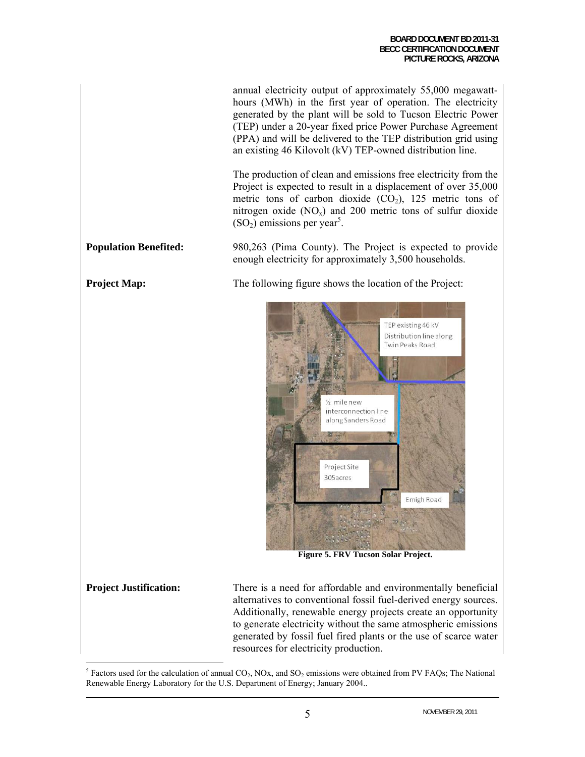annual electricity output of approximately 55,000 megawatthours (MWh) in the first year of operation. The electricity generated by the plant will be sold to Tucson Electric Power (TEP) under a 20-year fixed price Power Purchase Agreement (PPA) and will be delivered to the TEP distribution grid using an existing 46 Kilovolt (kV) TEP-owned distribution line.

The production of clean and emissions free electricity from the Project is expected to result in a displacement of over 35,000 metric tons of carbon dioxide  $(CO<sub>2</sub>)$ , 125 metric tons of nitrogen oxide  $(NO<sub>x</sub>)$  and 200 metric tons of sulfur dioxide  $(SO<sub>2</sub>)$  emissions per year<sup>5</sup>.

**Population Benefited:** 980,263 (Pima County). The Project is expected to provide enough electricity for approximately 3,500 households.

**Project Map:** The following figure shows the location of the Project:



**Figure 5. FRV Tucson Solar Project.** 

**Project Justification:** There is a need for affordable and environmentally beneficial alternatives to conventional fossil fuel-derived energy sources. Additionally, renewable energy projects create an opportunity to generate electricity without the same atmospheric emissions generated by fossil fuel fired plants or the use of scarce water resources for electricity production.

 $\overline{a}$ <sup>5</sup> Factors used for the calculation of annual  $CO_2$ , NOx, and  $SO_2$  emissions were obtained from PV FAQs; The National Renewable Energy Laboratory for the U.S. Department of Energy; January 2004..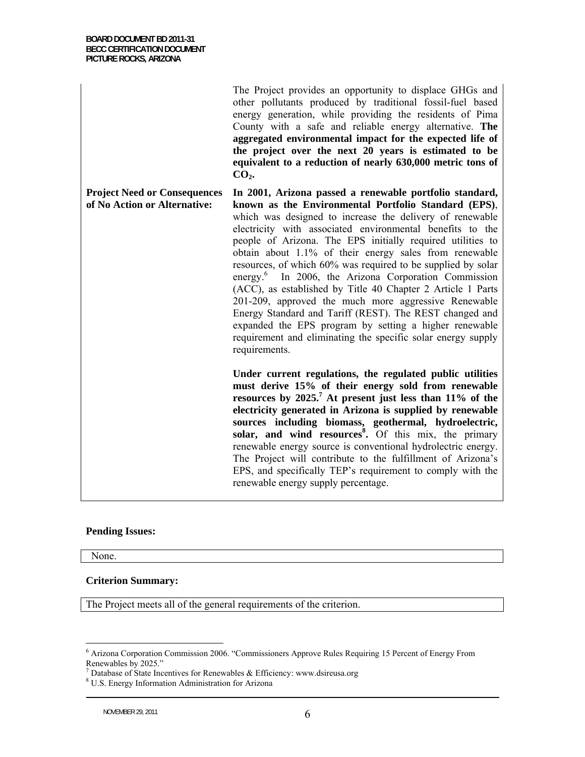The Project provides an opportunity to displace GHGs and other pollutants produced by traditional fossil-fuel based energy generation, while providing the residents of Pima County with a safe and reliable energy alternative. **The aggregated environmental impact for the expected life of the project over the next 20 years is estimated to be equivalent to a reduction of nearly 630,000 metric tons of**  CO<sub>2</sub>.

**Project Need or Consequences of No Action or Alternative: In 2001, Arizona passed a renewable portfolio standard, known as the Environmental Portfolio Standard (EPS)**, which was designed to increase the delivery of renewable electricity with associated environmental benefits to the people of Arizona. The EPS initially required utilities to obtain about 1.1% of their energy sales from renewable resources, of which 60% was required to be supplied by solar energy.<sup>6</sup> In 2006, the Arizona Corporation Commission (ACC), as established by Title 40 Chapter 2 Article 1 Parts 201-209, approved the much more aggressive Renewable Energy Standard and Tariff (REST). The REST changed and expanded the EPS program by setting a higher renewable requirement and eliminating the specific solar energy supply requirements.

> **Under current regulations, the regulated public utilities must derive 15% of their energy sold from renewable resources by 2025.7 At present just less than 11% of the electricity generated in Arizona is supplied by renewable sources including biomass, geothermal, hydroelectric, solar, and wind resources<sup>8</sup> .** Of this mix, the primary renewable energy source is conventional hydrolectric energy. The Project will contribute to the fulfillment of Arizona's EPS, and specifically TEP's requirement to comply with the renewable energy supply percentage.

### **Pending Issues:**

None.

 $\overline{a}$ 

### **Criterion Summary:**

The Project meets all of the general requirements of the criterion.

<sup>&</sup>lt;sup>6</sup> Arizona Corporation Commission 2006. "Commissioners Approve Rules Requiring 15 Percent of Energy From Renewables by 2025."

 $^7$  Database of State Incentives for Renewables & Efficiency: www.dsireusa.org  $^8$  U.S. Energy Information Administration for Arizone

U.S. Energy Information Administration for Arizona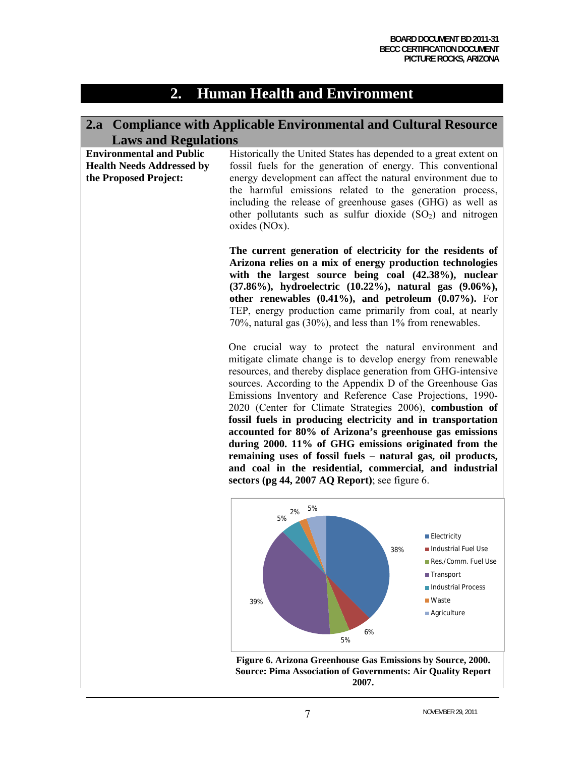# **2. Human Health and Environment**

# **2.a Compliance with Applicable Environmental and Cultural Resource Laws and Regulations**

| <b>Environmental and Public</b><br><b>Health Needs Addressed by</b><br>the Proposed Project: | Historically the United States has depended to a great extent on<br>fossil fuels for the generation of energy. This conventional<br>energy development can affect the natural environment due to<br>the harmful emissions related to the generation process,<br>including the release of greenhouse gases (GHG) as well as<br>other pollutants such as sulfur dioxide $(SO2)$ and nitrogen<br>oxides (NOx).                                                                                                                                                                                                                                                                                                                                  |                                                                                                                                 |
|----------------------------------------------------------------------------------------------|----------------------------------------------------------------------------------------------------------------------------------------------------------------------------------------------------------------------------------------------------------------------------------------------------------------------------------------------------------------------------------------------------------------------------------------------------------------------------------------------------------------------------------------------------------------------------------------------------------------------------------------------------------------------------------------------------------------------------------------------|---------------------------------------------------------------------------------------------------------------------------------|
|                                                                                              | The current generation of electricity for the residents of<br>Arizona relies on a mix of energy production technologies<br>with the largest source being coal (42.38%), nuclear<br>(37.86%), hydroelectric (10.22%), natural gas (9.06%),<br>other renewables $(0.41\%)$ , and petroleum $(0.07\%)$ . For<br>TEP, energy production came primarily from coal, at nearly<br>70%, natural gas (30%), and less than 1% from renewables.                                                                                                                                                                                                                                                                                                         |                                                                                                                                 |
|                                                                                              | One crucial way to protect the natural environment and<br>mitigate climate change is to develop energy from renewable<br>resources, and thereby displace generation from GHG-intensive<br>sources. According to the Appendix D of the Greenhouse Gas<br>Emissions Inventory and Reference Case Projections, 1990-<br>2020 (Center for Climate Strategies 2006), combustion of<br>fossil fuels in producing electricity and in transportation<br>accounted for 80% of Arizona's greenhouse gas emissions<br>during 2000. 11% of GHG emissions originated from the<br>remaining uses of fossil fuels - natural gas, oil products,<br>and coal in the residential, commercial, and industrial<br>sectors (pg 44, 2007 AQ Report); see figure 6. |                                                                                                                                 |
|                                                                                              | 5%<br>2%<br>5%<br>38%<br>39%                                                                                                                                                                                                                                                                                                                                                                                                                                                                                                                                                                                                                                                                                                                 | <b>■ Electricity</b><br>Industrial Fuel Use<br>Res./Comm. Fuel Use<br><b>■ Transport</b><br>Industrial Process<br><b>■Waste</b> |

6%

5%

**Agriculture**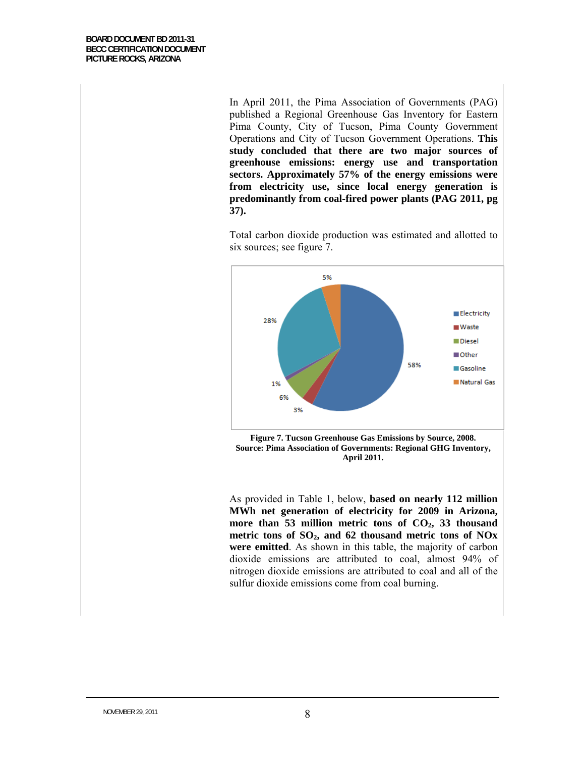In April 2011, the Pima Association of Governments (PAG) published a Regional Greenhouse Gas Inventory for Eastern Pima County, City of Tucson, Pima County Government Operations and City of Tucson Government Operations. **This study concluded that there are two major sources of greenhouse emissions: energy use and transportation sectors. Approximately 57% of the energy emissions were from electricity use, since local energy generation is predominantly from coal-fired power plants (PAG 2011, pg 37).**

Total carbon dioxide production was estimated and allotted to six sources; see figure 7.



**Figure 7. Tucson Greenhouse Gas Emissions by Source, 2008. Source: Pima Association of Governments: Regional GHG Inventory, April 2011.** 

As provided in Table 1, below, **based on nearly 112 million MWh net generation of electricity for 2009 in Arizona,**  more than 53 million metric tons of CO<sub>2</sub>, 33 thousand metric tons of SO<sub>2</sub>, and 62 thousand metric tons of NO<sub>x</sub> **were emitted**. As shown in this table, the majority of carbon dioxide emissions are attributed to coal, almost 94% of nitrogen dioxide emissions are attributed to coal and all of the sulfur dioxide emissions come from coal burning.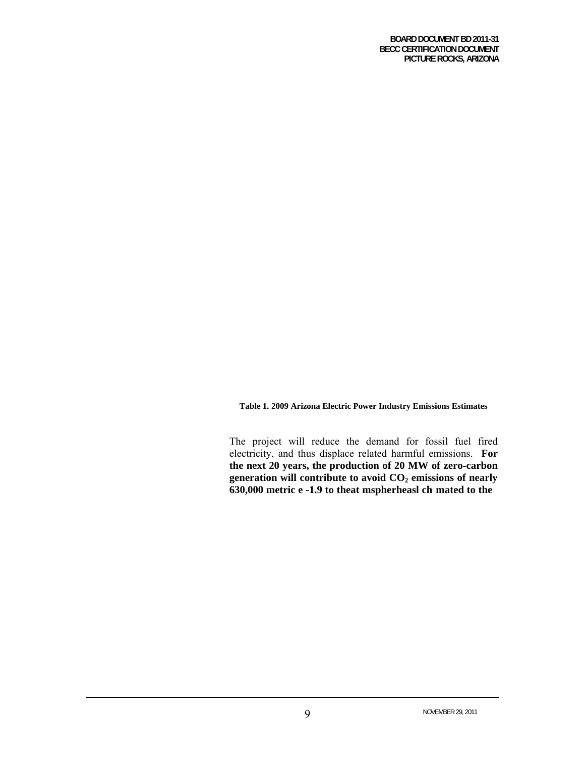**Table 1. 2009 Arizona Electric Power Industry Emissions Estimates** 

The project will reduce the demand for fossil fuel fired electricity, and thus displace related harmful emissions. **For the next 20 years, the production of 20 MW of zero-carbon**  generation will contribute to avoid  $CO<sub>2</sub>$  emissions of nearly **630,000 metric e -1.9 to theat mspherheasl ch mated to the currentd CO**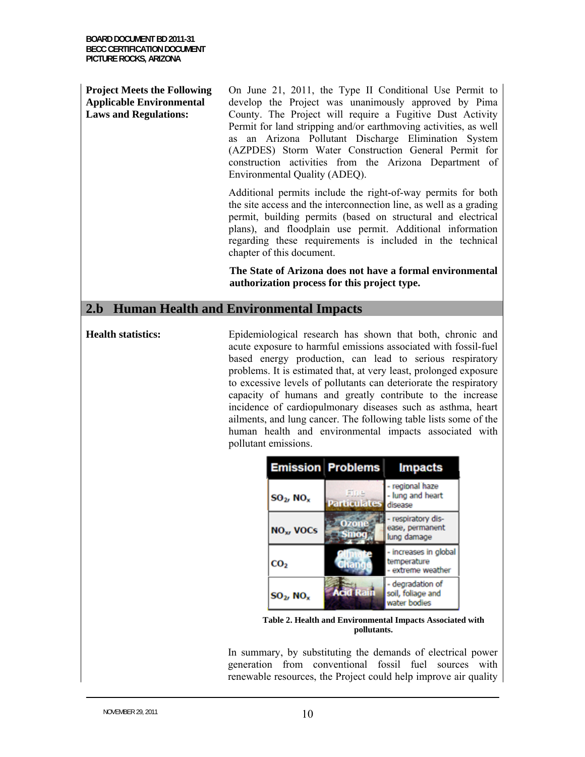### **Project Meets the Following Applicable Environmental Laws and Regulations:**

On June 21, 2011, the Type II Conditional Use Permit to develop the Project was unanimously approved by Pima County. The Project will require a Fugitive Dust Activity Permit for land stripping and/or earthmoving activities, as well as an Arizona Pollutant Discharge Elimination System (AZPDES) Storm Water Construction General Permit for construction activities from the Arizona Department of Environmental Quality (ADEQ).

Additional permits include the right-of-way permits for both the site access and the interconnection line, as well as a grading permit, building permits (based on structural and electrical plans), and floodplain use permit. Additional information regarding these requirements is included in the technical chapter of this document.

**The State of Arizona does not have a formal environmental authorization process for this project type.** 

### **2.b Human Health and Environmental Impacts**

**Health statistics:** Epidemiological research has shown that both, chronic and acute exposure to harmful emissions associated with fossil-fuel based energy production, can lead to serious respiratory problems. It is estimated that, at very least, prolonged exposure to excessive levels of pollutants can deteriorate the respiratory capacity of humans and greatly contribute to the increase incidence of cardiopulmonary diseases such as asthma, heart ailments, and lung cancer. The following table lists some of the human health and environmental impacts associated with pollutant emissions.

|                            | <b>Emission Problems</b>    | <b>Impacts</b>                                            |
|----------------------------|-----------------------------|-----------------------------------------------------------|
| $SO_2$ , NO <sub>x</sub>   | Fine<br><b>Particulates</b> | - regional haze<br>- lung and heart<br>disease            |
| <b>NO<sub>x</sub></b> VOCs |                             | - respiratory dis-<br>ease, permanent<br>lung damage      |
| CO <sub>2</sub>            | rant                        | - increases in global<br>temperature<br>- extreme weather |
| $SO_2$ , NO <sub>x</sub>   | Rain                        | - degradation of<br>soil, foliage and<br>water bodies     |

**Table 2. Health and Environmental Impacts Associated with pollutants.** 

In summary, by substituting the demands of electrical power generation from conventional fossil fuel sources with renewable resources, the Project could help improve air quality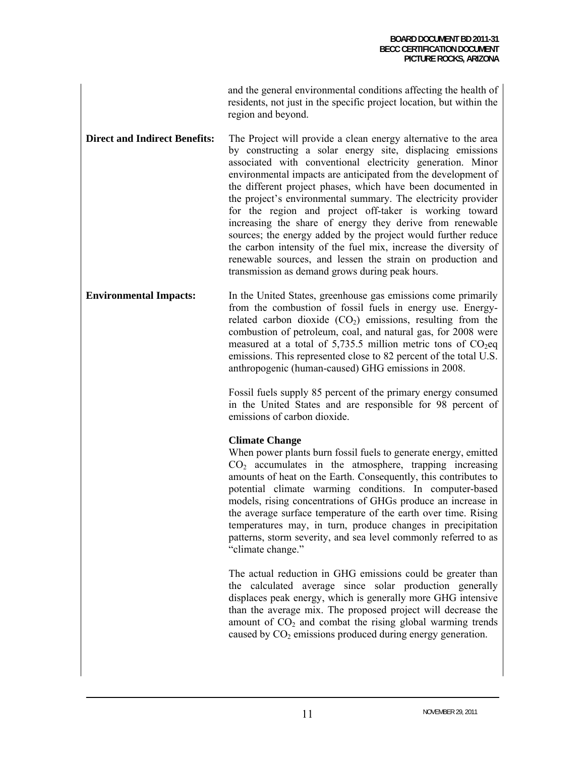|                    | and the general environmental conditions affecting the health of     |
|--------------------|----------------------------------------------------------------------|
|                    | residents, not just in the specific project location, but within the |
| region and beyond. |                                                                      |

**Direct and Indirect Benefits:** The Project will provide a clean energy alternative to the area by constructing a solar energy site, displacing emissions associated with conventional electricity generation. Minor environmental impacts are anticipated from the development of the different project phases, which have been documented in the project's environmental summary. The electricity provider for the region and project off-taker is working toward increasing the share of energy they derive from renewable sources; the energy added by the project would further reduce the carbon intensity of the fuel mix, increase the diversity of renewable sources, and lessen the strain on production and transmission as demand grows during peak hours.

**Environmental Impacts:** In the United States, greenhouse gas emissions come primarily from the combustion of fossil fuels in energy use. Energyrelated carbon dioxide  $(CO<sub>2</sub>)$  emissions, resulting from the combustion of petroleum, coal, and natural gas, for 2008 were measured at a total of 5,735.5 million metric tons of  $CO<sub>2</sub>$ eq emissions. This represented close to 82 percent of the total U.S. anthropogenic (human-caused) GHG emissions in 2008.

> Fossil fuels supply 85 percent of the primary energy consumed in the United States and are responsible for 98 percent of emissions of carbon dioxide.

### **Climate Change**

When power plants burn fossil fuels to generate energy, emitted  $CO<sub>2</sub>$  accumulates in the atmosphere, trapping increasing amounts of heat on the Earth. Consequently, this contributes to potential climate warming conditions. In computer-based models, rising concentrations of GHGs produce an increase in the average surface temperature of the earth over time. Rising temperatures may, in turn, produce changes in precipitation patterns, storm severity, and sea level commonly referred to as "climate change."

The actual reduction in GHG emissions could be greater than the calculated average since solar production generally displaces peak energy, which is generally more GHG intensive than the average mix. The proposed project will decrease the amount of  $CO<sub>2</sub>$  and combat the rising global warming trends caused by  $CO<sub>2</sub>$  emissions produced during energy generation.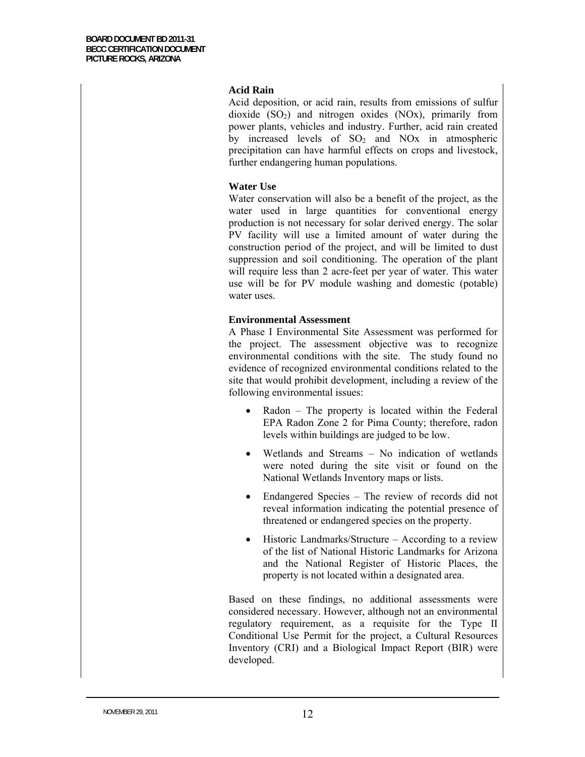### **Acid Rain**

Acid deposition, or acid rain, results from emissions of sulfur dioxide  $(SO<sub>2</sub>)$  and nitrogen oxides  $(NO<sub>X</sub>)$ , primarily from power plants, vehicles and industry. Further, acid rain created by increased levels of  $SO<sub>2</sub>$  and  $NOx$  in atmospheric precipitation can have harmful effects on crops and livestock, further endangering human populations.

### **Water Use**

Water conservation will also be a benefit of the project, as the water used in large quantities for conventional energy production is not necessary for solar derived energy. The solar PV facility will use a limited amount of water during the construction period of the project, and will be limited to dust suppression and soil conditioning. The operation of the plant will require less than 2 acre-feet per year of water. This water use will be for PV module washing and domestic (potable) water uses.

### **Environmental Assessment**

A Phase I Environmental Site Assessment was performed for the project. The assessment objective was to recognize environmental conditions with the site. The study found no evidence of recognized environmental conditions related to the site that would prohibit development, including a review of the following environmental issues:

- Radon The property is located within the Federal EPA Radon Zone 2 for Pima County; therefore, radon levels within buildings are judged to be low.
- Wetlands and Streams No indication of wetlands were noted during the site visit or found on the National Wetlands Inventory maps or lists.
- Endangered Species The review of records did not reveal information indicating the potential presence of threatened or endangered species on the property.
- Historic Landmarks/Structure According to a review of the list of National Historic Landmarks for Arizona and the National Register of Historic Places, the property is not located within a designated area.

Based on these findings, no additional assessments were considered necessary. However, although not an environmental regulatory requirement, as a requisite for the Type II Conditional Use Permit for the project, a Cultural Resources Inventory (CRI) and a Biological Impact Report (BIR) were developed.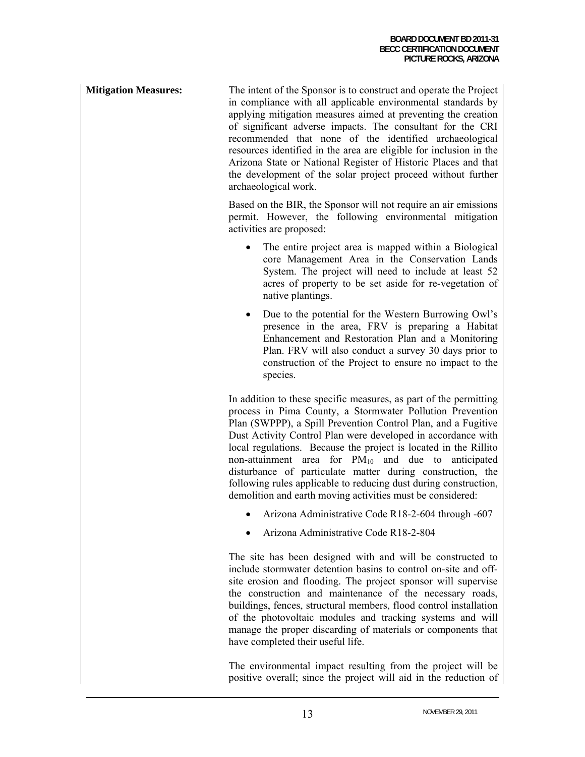**Mitigation Measures:** The intent of the Sponsor is to construct and operate the Project in compliance with all applicable environmental standards by applying mitigation measures aimed at preventing the creation of significant adverse impacts. The consultant for the CRI recommended that none of the identified archaeological resources identified in the area are eligible for inclusion in the Arizona State or National Register of Historic Places and that the development of the solar project proceed without further archaeological work.

> Based on the BIR, the Sponsor will not require an air emissions permit. However, the following environmental mitigation activities are proposed:

- The entire project area is mapped within a Biological core Management Area in the Conservation Lands System. The project will need to include at least 52 acres of property to be set aside for re-vegetation of native plantings.
- Due to the potential for the Western Burrowing Owl's presence in the area, FRV is preparing a Habitat Enhancement and Restoration Plan and a Monitoring Plan. FRV will also conduct a survey 30 days prior to construction of the Project to ensure no impact to the species.

In addition to these specific measures, as part of the permitting process in Pima County, a Stormwater Pollution Prevention Plan (SWPPP), a Spill Prevention Control Plan, and a Fugitive Dust Activity Control Plan were developed in accordance with local regulations. Because the project is located in the Rillito non-attainment area for  $PM_{10}$  and due to anticipated disturbance of particulate matter during construction, the following rules applicable to reducing dust during construction, demolition and earth moving activities must be considered:

- Arizona Administrative Code R18-2-604 through -607
- Arizona Administrative Code R18-2-804

The site has been designed with and will be constructed to include stormwater detention basins to control on-site and offsite erosion and flooding. The project sponsor will supervise the construction and maintenance of the necessary roads, buildings, fences, structural members, flood control installation of the photovoltaic modules and tracking systems and will manage the proper discarding of materials or components that have completed their useful life.

The environmental impact resulting from the project will be positive overall; since the project will aid in the reduction of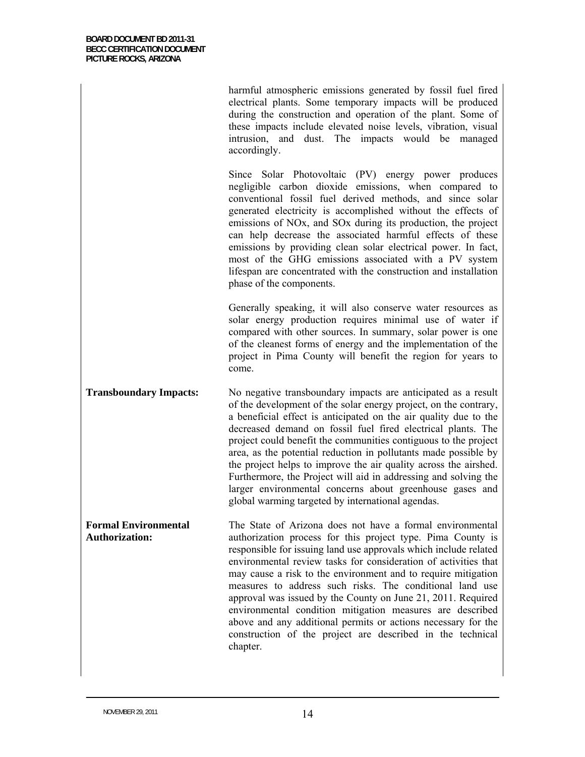harmful atmospheric emissions generated by fossil fuel fired electrical plants. Some temporary impacts will be produced during the construction and operation of the plant. Some of these impacts include elevated noise levels, vibration, visual intrusion, and dust. The impacts would be managed accordingly.

Since Solar Photovoltaic (PV) energy power produces negligible carbon dioxide emissions, when compared to conventional fossil fuel derived methods, and since solar generated electricity is accomplished without the effects of emissions of NOx, and SOx during its production, the project can help decrease the associated harmful effects of these emissions by providing clean solar electrical power. In fact, most of the GHG emissions associated with a PV system lifespan are concentrated with the construction and installation phase of the components.

Generally speaking, it will also conserve water resources as solar energy production requires minimal use of water if compared with other sources. In summary, solar power is one of the cleanest forms of energy and the implementation of the project in Pima County will benefit the region for years to come.

**Transboundary Impacts:** No negative transboundary impacts are anticipated as a result of the development of the solar energy project, on the contrary, a beneficial effect is anticipated on the air quality due to the decreased demand on fossil fuel fired electrical plants. The project could benefit the communities contiguous to the project area, as the potential reduction in pollutants made possible by the project helps to improve the air quality across the airshed. Furthermore, the Project will aid in addressing and solving the larger environmental concerns about greenhouse gases and global warming targeted by international agendas.

**Formal Environmental Authorization:**  The State of Arizona does not have a formal environmental authorization process for this project type. Pima County is responsible for issuing land use approvals which include related environmental review tasks for consideration of activities that may cause a risk to the environment and to require mitigation measures to address such risks. The conditional land use approval was issued by the County on June 21, 2011. Required environmental condition mitigation measures are described above and any additional permits or actions necessary for the construction of the project are described in the technical chapter.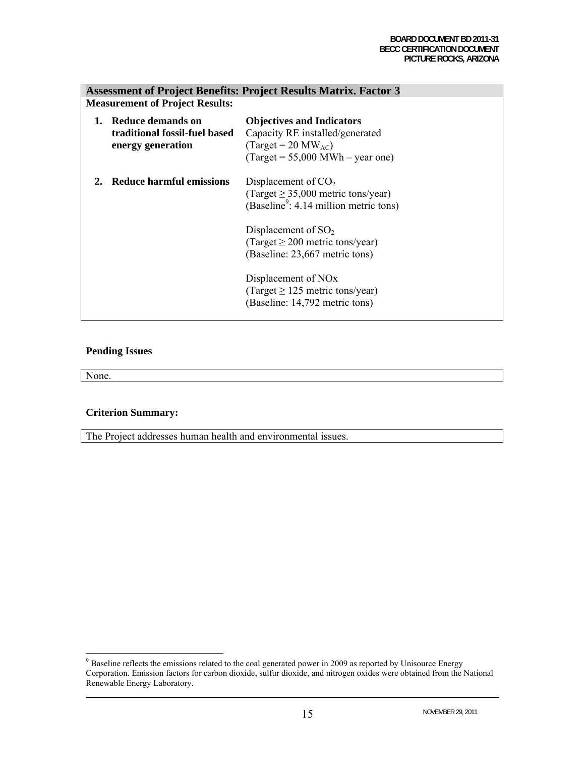| <b>Assessment of Project Benefits: Project Results Matrix. Factor 3</b> |                                                                           |                                                                                                                                                                   |
|-------------------------------------------------------------------------|---------------------------------------------------------------------------|-------------------------------------------------------------------------------------------------------------------------------------------------------------------|
| <b>Measurement of Project Results:</b>                                  |                                                                           |                                                                                                                                                                   |
|                                                                         | - Reduce demands on<br>traditional fossil-fuel based<br>energy generation | <b>Objectives and Indicators</b><br>Capacity RE installed/generated<br>$\text{(Target = 20 MW_{AC})}$<br>$\text{(Target} = 55,000 \text{ MWh} - \text{year one)}$ |
|                                                                         | Reduce harmful emissions                                                  | Displacement of $CO2$<br>(Target $\geq$ 35,000 metric tons/year)<br>(Baseline <sup>9</sup> : 4.14 million metric tons)                                            |
|                                                                         |                                                                           | Displacement of $SO2$<br>(Target $\geq$ 200 metric tons/year)<br>(Baseline: 23,667 metric tons)                                                                   |
|                                                                         |                                                                           | Displacement of NO <sub>x</sub><br>(Target $\geq$ 125 metric tons/year)<br>(Baseline: 14,792 metric tons)                                                         |

### **Pending Issues**

None.

### **Criterion Summary:**

The Project addresses human health and environmental issues.

<sup>&</sup>lt;sup>9</sup> Baseline reflects the emissions related to the coal generated power in 2009 as reported by Unisource Energy Corporation. Emission factors for carbon dioxide, sulfur dioxide, and nitrogen oxides were obtained from the National Renewable Energy Laboratory.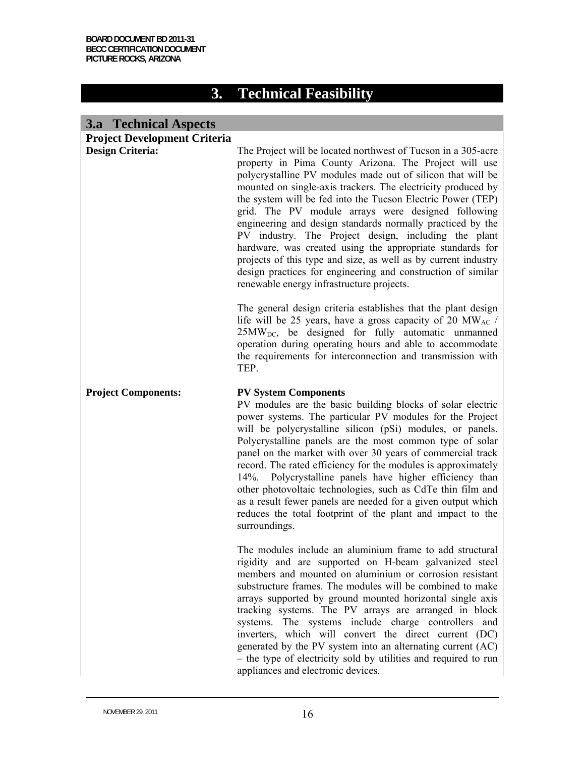# **3. Technical Feasibility**

# **3.a Technical Aspects**

| <b>Project Development Criteria</b> |                                                                                                                                                                                                                                                                                                                                                                                                                                                                                                                                                                                                                                                                                                                                              |
|-------------------------------------|----------------------------------------------------------------------------------------------------------------------------------------------------------------------------------------------------------------------------------------------------------------------------------------------------------------------------------------------------------------------------------------------------------------------------------------------------------------------------------------------------------------------------------------------------------------------------------------------------------------------------------------------------------------------------------------------------------------------------------------------|
| <b>Design Criteria:</b>             | The Project will be located northwest of Tucson in a 305-acre<br>property in Pima County Arizona. The Project will use<br>polycrystalline PV modules made out of silicon that will be<br>mounted on single-axis trackers. The electricity produced by<br>the system will be fed into the Tucson Electric Power (TEP)<br>grid. The PV module arrays were designed following<br>engineering and design standards normally practiced by the<br>PV industry. The Project design, including the plant<br>hardware, was created using the appropriate standards for<br>projects of this type and size, as well as by current industry<br>design practices for engineering and construction of similar<br>renewable energy infrastructure projects. |
|                                     | The general design criteria establishes that the plant design<br>life will be 25 years, have a gross capacity of 20 MW <sub>AC</sub> /<br>$25MWDC$ , be designed for fully automatic unmanned<br>operation during operating hours and able to accommodate<br>the requirements for interconnection and transmission with<br>TEP.                                                                                                                                                                                                                                                                                                                                                                                                              |
| <b>Project Components:</b>          | <b>PV System Components</b><br>PV modules are the basic building blocks of solar electric<br>power systems. The particular PV modules for the Project<br>will be polycrystalline silicon (pSi) modules, or panels.<br>Polycrystalline panels are the most common type of solar<br>panel on the market with over 30 years of commercial track<br>record. The rated efficiency for the modules is approximately<br>14%. Polycrystalline panels have higher efficiency than<br>other photovoltaic technologies, such as CdTe thin film and<br>as a result fewer panels are needed for a given output which<br>reduces the total footprint of the plant and impact to the<br>surroundings.                                                       |
|                                     | The modules include an aluminium frame to add structural<br>rigidity and are supported on H-beam galvanized steel<br>members and mounted on aluminium or corrosion resistant<br>substructure frames. The modules will be combined to make<br>arrays supported by ground mounted horizontal single axis<br>tracking systems. The PV arrays are arranged in block<br>systems. The systems include charge controllers<br>and<br>inverters, which will convert the direct current (DC)<br>generated by the PV system into an alternating current (AC)<br>- the type of electricity sold by utilities and required to run<br>appliances and electronic devices.                                                                                   |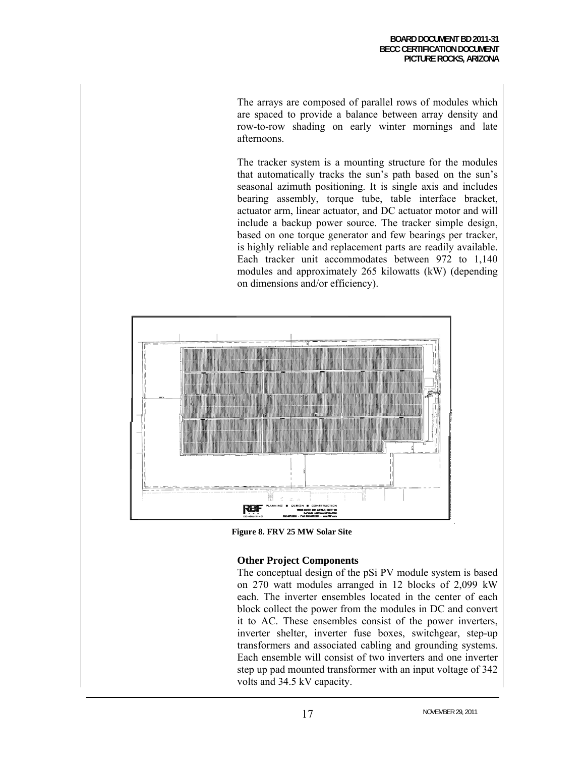The arrays are composed of parallel rows of modules which are spaced to provide a balance between array density and row-to-row shading on early winter mornings and late afternoons.

The tracker system is a mounting structure for the modules that automatically tracks the sun's path based on the sun's seasonal azimuth positioning. It is single axis and includes bearing assembly, torque tube, table interface bracket, actuator arm, linear actuator, and DC actuator motor and will include a backup power source. The tracker simple design, based on one torque generator and few bearings per tracker, is highly reliable and replacement parts are readily available. Each tracker unit accommodates between 972 to 1,140 modules and approximately 265 kilowatts (kW) (depending on dimensions and/or efficiency).



**Figure 8. FRV 25 MW Solar Site**

### **Other Project Components**

The conceptual design of the pSi PV module system is based on 270 watt modules arranged in 12 blocks of 2,099 kW each. The inverter ensembles located in the center of each block collect the power from the modules in DC and convert it to AC. These ensembles consist of the power inverters, inverter shelter, inverter fuse boxes, switchgear, step-up transformers and associated cabling and grounding systems. Each ensemble will consist of two inverters and one inverter step up pad mounted transformer with an input voltage of 342 volts and 34.5 kV capacity.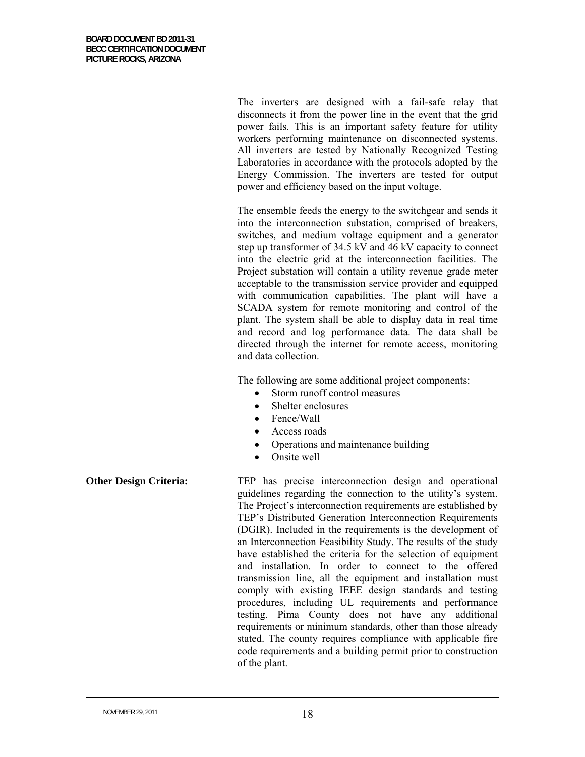The inverters are designed with a fail-safe relay that disconnects it from the power line in the event that the grid power fails. This is an important safety feature for utility workers performing maintenance on disconnected systems. All inverters are tested by Nationally Recognized Testing Laboratories in accordance with the protocols adopted by the Energy Commission. The inverters are tested for output power and efficiency based on the input voltage.

The ensemble feeds the energy to the switchgear and sends it into the interconnection substation, comprised of breakers, switches, and medium voltage equipment and a generator step up transformer of 34.5 kV and 46 kV capacity to connect into the electric grid at the interconnection facilities. The Project substation will contain a utility revenue grade meter acceptable to the transmission service provider and equipped with communication capabilities. The plant will have a SCADA system for remote monitoring and control of the plant. The system shall be able to display data in real time and record and log performance data. The data shall be directed through the internet for remote access, monitoring and data collection.

The following are some additional project components:

- Storm runoff control measures
- Shelter enclosures
- Fence/Wall
- Access roads
- Operations and maintenance building
- Onsite well

**Other Design Criteria:** TEP has precise interconnection design and operational guidelines regarding the connection to the utility's system. The Project's interconnection requirements are established by TEP's Distributed Generation Interconnection Requirements (DGIR). Included in the requirements is the development of an Interconnection Feasibility Study. The results of the study have established the criteria for the selection of equipment and installation. In order to connect to the offered transmission line, all the equipment and installation must comply with existing IEEE design standards and testing procedures, including UL requirements and performance testing. Pima County does not have any additional requirements or minimum standards, other than those already stated. The county requires compliance with applicable fire code requirements and a building permit prior to construction of the plant.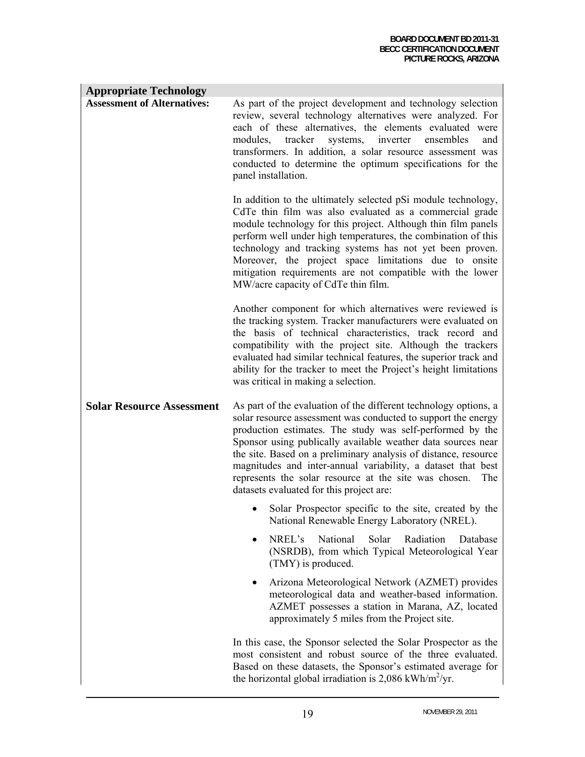| <b>Appropriate Technology</b>      |                                                                                                                                                                                                                                                                                                                                                                                                                                                                                                               |
|------------------------------------|---------------------------------------------------------------------------------------------------------------------------------------------------------------------------------------------------------------------------------------------------------------------------------------------------------------------------------------------------------------------------------------------------------------------------------------------------------------------------------------------------------------|
| <b>Assessment of Alternatives:</b> | As part of the project development and technology selection<br>review, several technology alternatives were analyzed. For<br>each of these alternatives, the elements evaluated were<br>systems, inverter<br>modules,<br>tracker<br>ensembles<br>and<br>transformers. In addition, a solar resource assessment was<br>conducted to determine the optimum specifications for the<br>panel installation.                                                                                                        |
|                                    | In addition to the ultimately selected pSi module technology,<br>CdTe thin film was also evaluated as a commercial grade<br>module technology for this project. Although thin film panels<br>perform well under high temperatures, the combination of this<br>technology and tracking systems has not yet been proven.<br>Moreover, the project space limitations due to onsite<br>mitigation requirements are not compatible with the lower<br>MW/acre capacity of CdTe thin film.                           |
|                                    | Another component for which alternatives were reviewed is<br>the tracking system. Tracker manufacturers were evaluated on<br>the basis of technical characteristics, track record and<br>compatibility with the project site. Although the trackers<br>evaluated had similar technical features, the superior track and<br>ability for the tracker to meet the Project's height limitations<br>was critical in making a selection.                                                                            |
| <b>Solar Resource Assessment</b>   | As part of the evaluation of the different technology options, a<br>solar resource assessment was conducted to support the energy<br>production estimates. The study was self-performed by the<br>Sponsor using publically available weather data sources near<br>the site. Based on a preliminary analysis of distance, resource<br>magnitudes and inter-annual variability, a dataset that best<br>represents the solar resource at the site was chosen.<br>The<br>datasets evaluated for this project are: |
|                                    | Solar Prospector specific to the site, created by the<br>National Renewable Energy Laboratory (NREL).                                                                                                                                                                                                                                                                                                                                                                                                         |
|                                    | NREL's<br>National<br>Radiation<br>Solar<br>Database<br>(NSRDB), from which Typical Meteorological Year<br>(TMY) is produced.                                                                                                                                                                                                                                                                                                                                                                                 |
|                                    | Arizona Meteorological Network (AZMET) provides<br>٠<br>meteorological data and weather-based information.<br>AZMET possesses a station in Marana, AZ, located<br>approximately 5 miles from the Project site.                                                                                                                                                                                                                                                                                                |
|                                    | In this case, the Sponsor selected the Solar Prospector as the<br>most consistent and robust source of the three evaluated.<br>Based on these datasets, the Sponsor's estimated average for<br>the horizontal global irradiation is 2,086 kWh/m <sup>2</sup> /yr.                                                                                                                                                                                                                                             |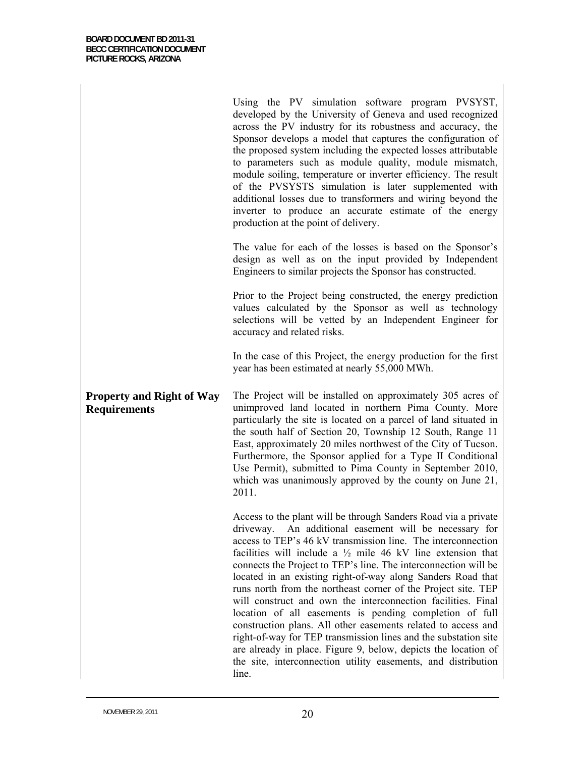Using the PV simulation software program PVSYST, developed by the University of Geneva and used recognized across the PV industry for its robustness and accuracy, the Sponsor develops a model that captures the configuration of the proposed system including the expected losses attributable to parameters such as module quality, module mismatch, module soiling, temperature or inverter efficiency. The result of the PVSYSTS simulation is later supplemented with additional losses due to transformers and wiring beyond the inverter to produce an accurate estimate of the energy production at the point of delivery.

The value for each of the losses is based on the Sponsor's design as well as on the input provided by Independent Engineers to similar projects the Sponsor has constructed.

Prior to the Project being constructed, the energy prediction values calculated by the Sponsor as well as technology selections will be vetted by an Independent Engineer for accuracy and related risks.

In the case of this Project, the energy production for the first year has been estimated at nearly 55,000 MWh.

**Property and Right of Way Requirements** The Project will be installed on approximately 305 acres of unimproved land located in northern Pima County. More particularly the site is located on a parcel of land situated in the south half of Section 20, Township 12 South, Range 11 East, approximately 20 miles northwest of the City of Tucson. Furthermore, the Sponsor applied for a Type II Conditional Use Permit), submitted to Pima County in September 2010, which was unanimously approved by the county on June 21, 2011.

> Access to the plant will be through Sanders Road via a private driveway. An additional easement will be necessary for access to TEP's 46 kV transmission line. The interconnection facilities will include a  $\frac{1}{2}$  mile 46 kV line extension that connects the Project to TEP's line. The interconnection will be located in an existing right-of-way along Sanders Road that runs north from the northeast corner of the Project site. TEP will construct and own the interconnection facilities. Final location of all easements is pending completion of full construction plans. All other easements related to access and right-of-way for TEP transmission lines and the substation site are already in place. Figure 9, below, depicts the location of the site, interconnection utility easements, and distribution line.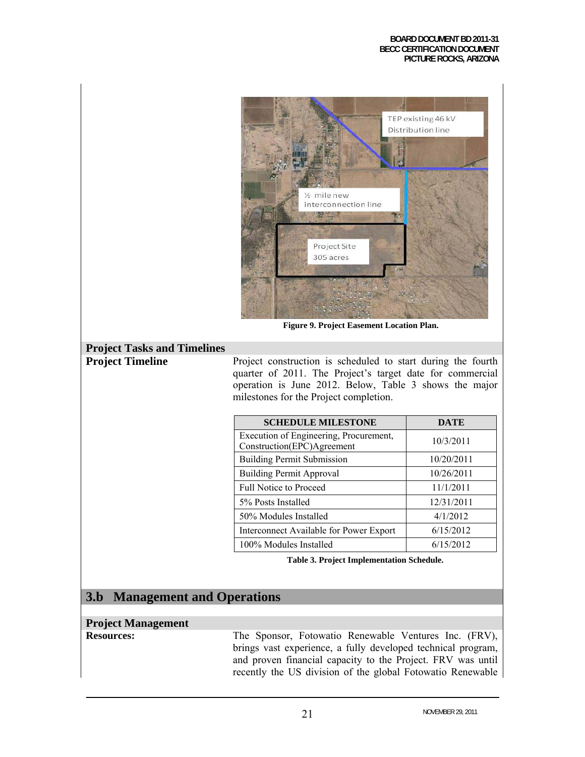### **BOARD DOCUMENT BD 2011-31 BECC CERTIFICATION DOCUMENT PICTURE ROCKS, ARIZONA**



**Figure 9. Project Easement Location Plan.**

# **Project Tasks and Timelines**

**Project Timeline** Project construction is scheduled to start during the fourth quarter of 2011. The Project's target date for commercial operation is June 2012. Below, Table 3 shows the major milestones for the Project completion.

| <b>SCHEDULE MILESTONE</b>                                            | <b>DATE</b> |
|----------------------------------------------------------------------|-------------|
| Execution of Engineering, Procurement,<br>Construction(EPC)Agreement | 10/3/2011   |
| <b>Building Permit Submission</b>                                    | 10/20/2011  |
| <b>Building Permit Approval</b>                                      | 10/26/2011  |
| <b>Full Notice to Proceed</b>                                        | 11/1/2011   |
| 5% Posts Installed                                                   | 12/31/2011  |
| 50% Modules Installed                                                | 4/1/2012    |
| Interconnect Available for Power Export                              | 6/15/2012   |
| 100% Modules Installed                                               | 6/15/2012   |

**Table 3. Project Implementation Schedule.** 

# **3.b Management and Operations**

### **Project Management**

**Resources:** The Sponsor, Fotowatio Renewable Ventures Inc. (FRV), brings vast experience, a fully developed technical program, and proven financial capacity to the Project. FRV was until recently the US division of the global Fotowatio Renewable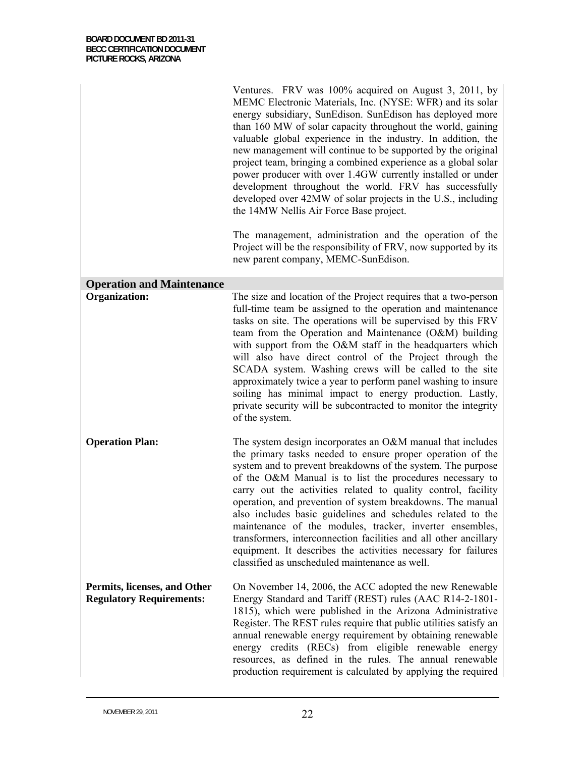|                                                                 | Ventures. FRV was 100% acquired on August 3, 2011, by<br>MEMC Electronic Materials, Inc. (NYSE: WFR) and its solar<br>energy subsidiary, SunEdison. SunEdison has deployed more<br>than 160 MW of solar capacity throughout the world, gaining<br>valuable global experience in the industry. In addition, the<br>new management will continue to be supported by the original<br>project team, bringing a combined experience as a global solar<br>power producer with over 1.4GW currently installed or under<br>development throughout the world. FRV has successfully<br>developed over 42MW of solar projects in the U.S., including<br>the 14MW Nellis Air Force Base project.<br>The management, administration and the operation of the<br>Project will be the responsibility of FRV, now supported by its<br>new parent company, MEMC-SunEdison. |
|-----------------------------------------------------------------|-----------------------------------------------------------------------------------------------------------------------------------------------------------------------------------------------------------------------------------------------------------------------------------------------------------------------------------------------------------------------------------------------------------------------------------------------------------------------------------------------------------------------------------------------------------------------------------------------------------------------------------------------------------------------------------------------------------------------------------------------------------------------------------------------------------------------------------------------------------|
| <b>Operation and Maintenance</b>                                |                                                                                                                                                                                                                                                                                                                                                                                                                                                                                                                                                                                                                                                                                                                                                                                                                                                           |
| <b>Organization:</b>                                            | The size and location of the Project requires that a two-person<br>full-time team be assigned to the operation and maintenance<br>tasks on site. The operations will be supervised by this FRV<br>team from the Operation and Maintenance (O&M) building<br>with support from the O&M staff in the headquarters which<br>will also have direct control of the Project through the<br>SCADA system. Washing crews will be called to the site<br>approximately twice a year to perform panel washing to insure<br>soiling has minimal impact to energy production. Lastly,<br>private security will be subcontracted to monitor the integrity<br>of the system.                                                                                                                                                                                             |
| <b>Operation Plan:</b>                                          | The system design incorporates an O&M manual that includes<br>the primary tasks needed to ensure proper operation of the<br>system and to prevent breakdowns of the system. The purpose<br>of the O&M Manual is to list the procedures necessary to<br>carry out the activities related to quality control, facility<br>operation, and prevention of system breakdowns. The manual<br>also includes basic guidelines and schedules related to the<br>maintenance of the modules, tracker, inverter ensembles,<br>transformers, interconnection facilities and all other ancillary<br>equipment. It describes the activities necessary for failures<br>classified as unscheduled maintenance as well.                                                                                                                                                      |
| Permits, licenses, and Other<br><b>Regulatory Requirements:</b> | On November 14, 2006, the ACC adopted the new Renewable<br>Energy Standard and Tariff (REST) rules (AAC R14-2-1801-<br>1815), which were published in the Arizona Administrative<br>Register. The REST rules require that public utilities satisfy an<br>annual renewable energy requirement by obtaining renewable<br>energy credits (RECs) from eligible renewable energy<br>resources, as defined in the rules. The annual renewable<br>production requirement is calculated by applying the required                                                                                                                                                                                                                                                                                                                                                  |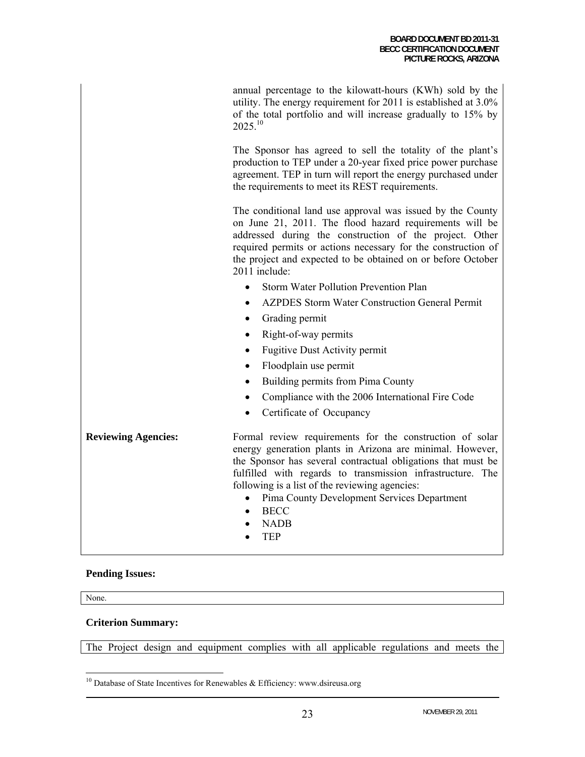annual percentage to the kilowatt-hours (KWh) sold by the utility. The energy requirement for 2011 is established at 3.0% of the total portfolio and will increase gradually to 15% by  $2025^{10}$ 

The Sponsor has agreed to sell the totality of the plant's production to TEP under a 20-year fixed price power purchase agreement. TEP in turn will report the energy purchased under the requirements to meet its REST requirements.

The conditional land use approval was issued by the County on June 21, 2011. The flood hazard requirements will be addressed during the construction of the project. Other required permits or actions necessary for the construction of the project and expected to be obtained on or before October 2011 include:

- Storm Water Pollution Prevention Plan
- AZPDES Storm Water Construction General Permit
- Grading permit
- Right-of-way permits
- Fugitive Dust Activity permit
- Floodplain use permit
- Building permits from Pima County
- Compliance with the 2006 International Fire Code
- Certificate of Occupancy

**Reviewing Agencies:** Formal review requirements for the construction of solar energy generation plants in Arizona are minimal. However, the Sponsor has several contractual obligations that must be fulfilled with regards to transmission infrastructure. The following is a list of the reviewing agencies:

- Pima County Development Services Department
- BECC
- NADB
- TEP

### **Pending Issues:**

None.

 $\overline{a}$ 

### **Criterion Summary:**

The Project design and equipment complies with all applicable regulations and meets the

 $10$  Database of State Incentives for Renewables & Efficiency: www.dsireusa.org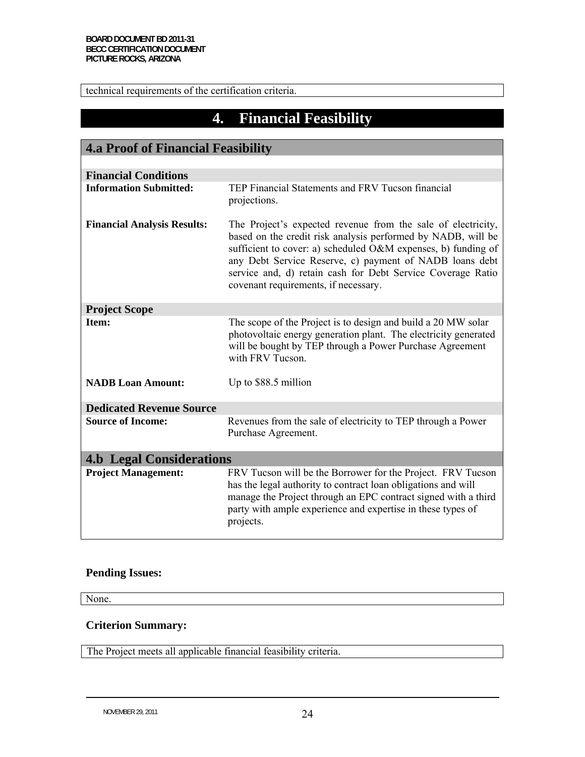technical requirements of the certification criteria.

# **4. Financial Feasibility**

| <b>4.a Proof of Financial Feasibility</b> |                                                                                                                                                                                                                                                                                                                                                                 |  |
|-------------------------------------------|-----------------------------------------------------------------------------------------------------------------------------------------------------------------------------------------------------------------------------------------------------------------------------------------------------------------------------------------------------------------|--|
|                                           |                                                                                                                                                                                                                                                                                                                                                                 |  |
| <b>Financial Conditions</b>               |                                                                                                                                                                                                                                                                                                                                                                 |  |
| <b>Information Submitted:</b>             | TEP Financial Statements and FRV Tucson financial<br>projections.                                                                                                                                                                                                                                                                                               |  |
| <b>Financial Analysis Results:</b>        | The Project's expected revenue from the sale of electricity,<br>based on the credit risk analysis performed by NADB, will be<br>sufficient to cover: a) scheduled O&M expenses, b) funding of<br>any Debt Service Reserve, c) payment of NADB loans debt<br>service and, d) retain cash for Debt Service Coverage Ratio<br>covenant requirements, if necessary. |  |
| <b>Project Scope</b>                      |                                                                                                                                                                                                                                                                                                                                                                 |  |
| Item:                                     | The scope of the Project is to design and build a 20 MW solar<br>photovoltaic energy generation plant. The electricity generated<br>will be bought by TEP through a Power Purchase Agreement<br>with FRV Tucson.                                                                                                                                                |  |
| <b>NADB</b> Loan Amount:                  | Up to \$88.5 million                                                                                                                                                                                                                                                                                                                                            |  |
| <b>Dedicated Revenue Source</b>           |                                                                                                                                                                                                                                                                                                                                                                 |  |
| <b>Source of Income:</b>                  | Revenues from the sale of electricity to TEP through a Power<br>Purchase Agreement.                                                                                                                                                                                                                                                                             |  |
| <b>4.b Legal Considerations</b>           |                                                                                                                                                                                                                                                                                                                                                                 |  |
| <b>Project Management:</b>                | FRV Tucson will be the Borrower for the Project. FRV Tucson<br>has the legal authority to contract loan obligations and will<br>manage the Project through an EPC contract signed with a third<br>party with ample experience and expertise in these types of<br>projects.                                                                                      |  |

### **Pending Issues:**

None.

### **Criterion Summary:**

The Project meets all applicable financial feasibility criteria.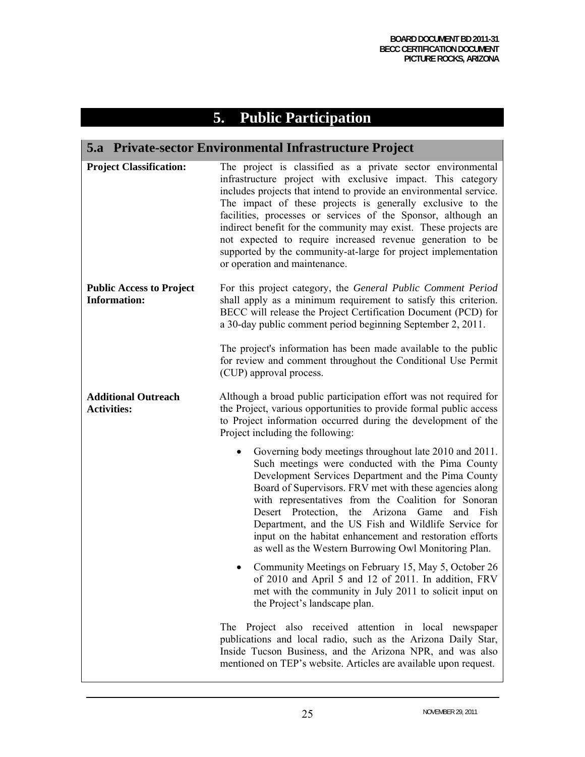# **5. Public Participation**

# **5.a Private-sector Environmental Infrastructure Project**

| <b>Project Classification:</b>                         | The project is classified as a private sector environmental<br>infrastructure project with exclusive impact. This category<br>includes projects that intend to provide an environmental service.<br>The impact of these projects is generally exclusive to the<br>facilities, processes or services of the Sponsor, although an<br>indirect benefit for the community may exist. These projects are<br>not expected to require increased revenue generation to be<br>supported by the community-at-large for project implementation<br>or operation and maintenance. |
|--------------------------------------------------------|----------------------------------------------------------------------------------------------------------------------------------------------------------------------------------------------------------------------------------------------------------------------------------------------------------------------------------------------------------------------------------------------------------------------------------------------------------------------------------------------------------------------------------------------------------------------|
| <b>Public Access to Project</b><br><b>Information:</b> | For this project category, the General Public Comment Period<br>shall apply as a minimum requirement to satisfy this criterion.<br>BECC will release the Project Certification Document (PCD) for<br>a 30-day public comment period beginning September 2, 2011.                                                                                                                                                                                                                                                                                                     |
|                                                        | The project's information has been made available to the public<br>for review and comment throughout the Conditional Use Permit<br>(CUP) approval process.                                                                                                                                                                                                                                                                                                                                                                                                           |
| <b>Additional Outreach</b><br><b>Activities:</b>       | Although a broad public participation effort was not required for<br>the Project, various opportunities to provide formal public access<br>to Project information occurred during the development of the<br>Project including the following:                                                                                                                                                                                                                                                                                                                         |
|                                                        | Governing body meetings throughout late 2010 and 2011.<br>Such meetings were conducted with the Pima County<br>Development Services Department and the Pima County<br>Board of Supervisors. FRV met with these agencies along<br>with representatives from the Coalition for Sonoran<br>Desert Protection, the Arizona<br>Game<br>and Fish<br>Department, and the US Fish and Wildlife Service for<br>input on the habitat enhancement and restoration efforts<br>as well as the Western Burrowing Owl Monitoring Plan.                                              |
|                                                        | Community Meetings on February 15, May 5, October 26<br>of 2010 and April 5 and 12 of 2011. In addition, FRV<br>met with the community in July 2011 to solicit input on<br>the Project's landscape plan.                                                                                                                                                                                                                                                                                                                                                             |
|                                                        | The Project also received attention in local newspaper<br>publications and local radio, such as the Arizona Daily Star,<br>Inside Tucson Business, and the Arizona NPR, and was also<br>mentioned on TEP's website. Articles are available upon request.                                                                                                                                                                                                                                                                                                             |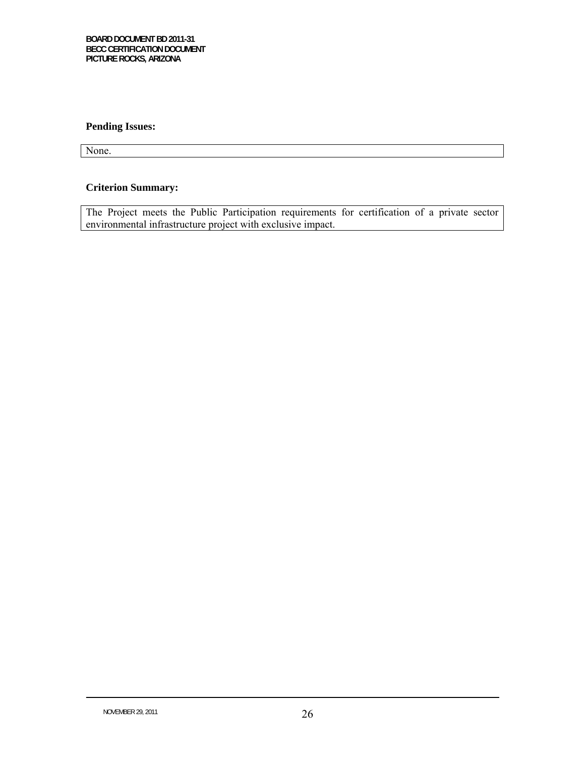### **Pending Issues:**

None.

### **Criterion Summary:**

The Project meets the Public Participation requirements for certification of a private sector environmental infrastructure project with exclusive impact.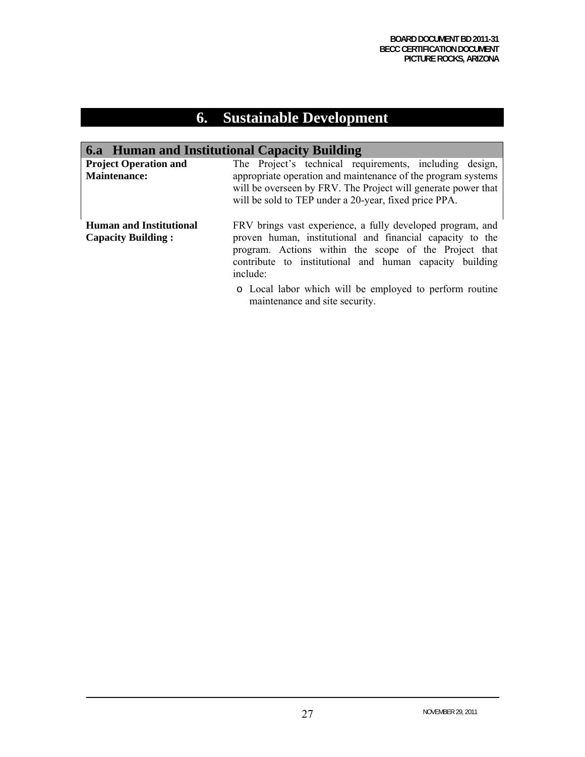# **6. Sustainable Development**

# **6.a Human and Institutional Capacity Building**

| <b>Project Operation and</b><br><b>Maintenance:</b>         | The Project's technical requirements, including design,<br>appropriate operation and maintenance of the program systems<br>will be overseen by FRV. The Project will generate power that<br>will be sold to TEP under a 20-year, fixed price PPA.       |
|-------------------------------------------------------------|---------------------------------------------------------------------------------------------------------------------------------------------------------------------------------------------------------------------------------------------------------|
| <b>Human and Institutional</b><br><b>Capacity Building:</b> | FRV brings vast experience, a fully developed program, and<br>proven human, institutional and financial capacity to the<br>program. Actions within the scope of the Project that<br>contribute to institutional and human capacity building<br>include: |
|                                                             | o Local labor which will be employed to perform routine                                                                                                                                                                                                 |

maintenance and site security.